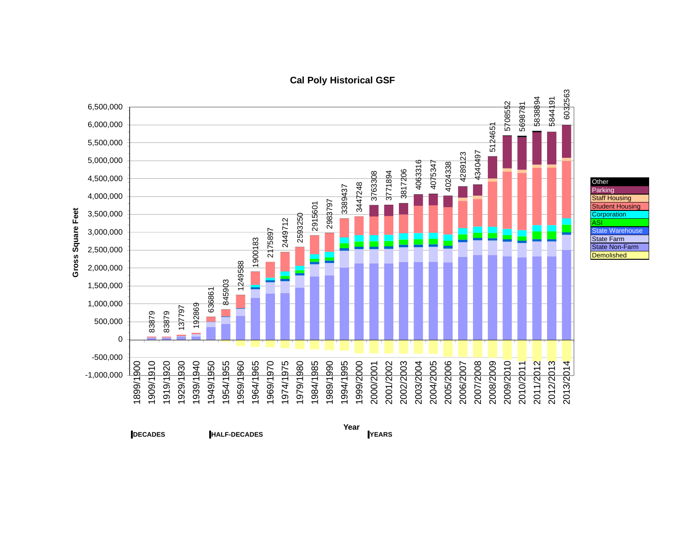

## **Cal Poly Historical GSF**

**DECADES HALF-DECADES YEARS**

**YEARS Year**